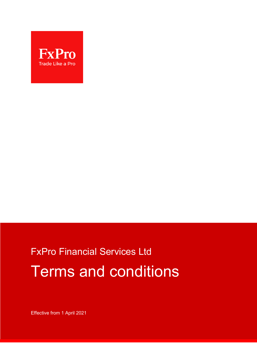

# FxPro Financial Services Ltd Terms and conditions

Effective from 1 April 2021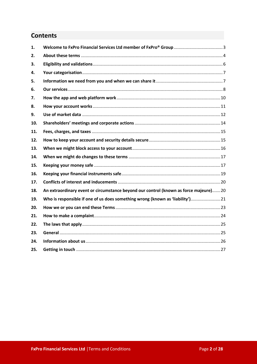## **Contents**

| 1.  |                                                                                       |  |
|-----|---------------------------------------------------------------------------------------|--|
| 2.  |                                                                                       |  |
| 3.  |                                                                                       |  |
| 4.  |                                                                                       |  |
| 5.  |                                                                                       |  |
| 6.  |                                                                                       |  |
| 7.  |                                                                                       |  |
| 8.  |                                                                                       |  |
| 9.  |                                                                                       |  |
| 10. |                                                                                       |  |
| 11. |                                                                                       |  |
| 12. |                                                                                       |  |
| 13. |                                                                                       |  |
| 14. |                                                                                       |  |
| 15. |                                                                                       |  |
| 16. |                                                                                       |  |
| 17. |                                                                                       |  |
| 18. | An extraordinary event or circumstance beyond our control (known as force majeure) 20 |  |
| 19. | Who is responsible if one of us does something wrong (known as 'liability') 21        |  |
| 20. |                                                                                       |  |
| 21. |                                                                                       |  |
| 22. |                                                                                       |  |
| 23. |                                                                                       |  |
| 24. |                                                                                       |  |
| 25. |                                                                                       |  |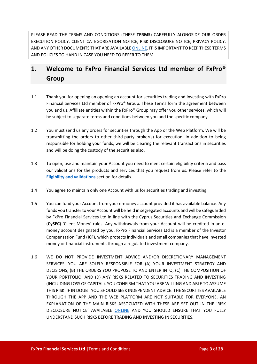PLEASE READ THE TERMS AND CONDITIONS (THESE **TERMS**) CAREFULLY ALONGSIDE OUR ORDER EXECUTION POLICY, CLIENT CATEGORISATION NOTICE, RISK DISCLOSURE NOTICE, PRIVACY POLICY, AND ANY OTHER DOCUMENTS THAT ARE AVAILABL[E ONLINE](https://bnkpro.com/). IT IS IMPORTANT TO KEEP THESE TERMS AND POLICIES TO HAND IN CASE YOU NEED TO REFER TO THEM.

# <span id="page-2-0"></span>**1. Welcome to FxPro Financial Services Ltd member of FxPro® Group**

- 1.1 Thank you for opening an opening an account for securities trading and investing with FxPro Financial Services Ltd member of FxPro® Group. These Terms form the agreement between you and us. Affiliate entities within the FxPro® Group may offer you other services, which will be subject to separate terms and conditions between you and the specific company.
- 1.2 You must send us any orders for securities through the App or the Web Platform. We will be transmitting the orders to other third-party broker(s) for execution. In addition to being responsible for holding your funds, we will be clearing the relevant transactions in securities and will be doing the custody of the securities also.
- 1.3 To open, use and maintain your Account you need to meet certain eligibility criteria and pass our validations for the products and services that you request from us. Please refer to the **[Eligibility and validations](#page-5-0)** section for details.
- 1.4 You agree to maintain only one Account with us for securities trading and investing.
- 1.5 You can fund your Account from your e-money account provided it has available balance. Any funds you transfer to your Account will be held in segregated accounts and will be safeguarded by FxPro Financial Services Ltd in line with the Cyprus Securities and Exchange Commission (**CySEC**) 'Client Money' rules. Any withdrawals from your Account will be credited in an emoney account designated by you. FxPro Financial Services Ltd is a member of the Investor Compensation Fund (**ICF**), which protects individuals and small companies that have invested money or financial instruments through a regulated investment company.
- 1.6 WE DO NOT PROVIDE INVESTMENT ADVICE AND/OR DISCRETIONARY MANAGEMENT SERVICES. YOU ARE SOLELY RESPONSIBLE FOR (A) YOUR INVESTMENT STRATEGY AND DECISIONS; (B) THE ORDERS YOU PROPOSE TO AND ENTER INTO; (C) THE COMPOSITION OF YOUR PORTFOLIO; AND (D) ANY RISKS RELATED TO SECURITIES TRADING AND INVESTING (INCLUDING LOSS OF CAPITAL). YOU CONFIRM THAT YOU ARE WILLING AND ABLE TO ASSUME THIS RISK. IF IN DOUBT YOU SHOULD SEEK INDEPENDENT ADVICE. THE SECURITIES AVAILABLE THROUGH THE APP AND THE WEB PLATFORM ARE NOT SUITABLE FOR EVERYONE. AN EXPLANATION OF THE MAIN RISKS ASSOCIATED WITH THESE ARE SET OUT IN THE 'RISK DISCLOSURE NOTICE' AVAILABLE [ONLINE](https://bnkpro.com/) AND YOU SHOULD ENSURE THAT YOU FULLY UNDERSTAND SUCH RISKS BEFORE TRADING AND INVESTING IN SECURITIES.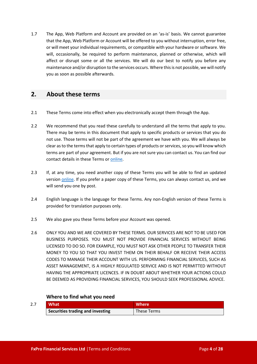1.7 The App, Web Platform and Account are provided on an 'as-is' basis. We cannot guarantee that the App, Web Platform or Account will be offered to you without interruption, error free, or will meet your individual requirements, or compatible with your hardware or software. We will, occasionally, be required to perform maintenance, planned or otherwise, which will affect or disrupt some or all the services. We will do our best to notify you before any maintenance and/or disruption to the services occurs. Where this is not possible, we will notify you as soon as possible afterwards.

## <span id="page-3-0"></span>**2. About these terms**

- 2.1 These Terms come into effect when you electronically accept them through the App.
- 2.2 We recommend that you read these carefully to understand all the terms that apply to you. There may be terms in this document that apply to specific products or services that you do not use. Those terms will not be part of the agreement we have with you. We will always be clear as to the terms that apply to certain types of products or services, so you will know which terms are part of your agreement. But if you are not sure you can contact us. You can find our contact details in these Terms or [online](https://bnkpro.com/).
- 2.3 If, at any time, you need another copy of these Terms you will be able to find an updated version [online](https://bnkpro.com/). If you prefer a paper copy of these Terms, you can always contact us, and we will send you one by post.
- 2.4 English language is the language for these Terms. Any non-English version of these Terms is provided for translation purposes only.
- 2.5 We also gave you these Terms before your Account was opened.
- 2.6 ONLY YOU AND WE ARE COVERED BY THESE TERMS. OUR SERVICES ARE NOT TO BE USED FOR BUSINESS PURPOSES. YOU MUST NOT PROVIDE FINANCIAL SERVICES WITHOUT BEING LICENSED TO DO SO. FOR EXAMPLE, YOU MUST NOT ASK OTHER PEOPLE TO TRANSFER THEIR MONEY TO YOU SO THAT YOU INVEST THEM ON THEIR BEHALF OR RECEIVE THEIR ACCESS CODES TO MANAGE THEIR ACCOUNT WITH US. PERFORMING FINANCIAL SERVICES, SUCH AS ASSET MANAGEMENT, IS A HIGHLY REGULATED SERVICE AND IS NOT PERMITTED WITHOUT HAVING THE APPROPRIATE LICENCES. IF IN DOUBT ABOUT WHETHER YOUR ACTIONS COULD BE DEEMED AS PROVIDING FINANCIAL SERVICES, YOU SHOULD SEEK PROFESSIONAL ADVICE.

## **Where to find what you need**

| 2.7 | <b>What</b>                             | <b>Where</b> |
|-----|-----------------------------------------|--------------|
|     | <b>Securities trading and investing</b> | These Terms  |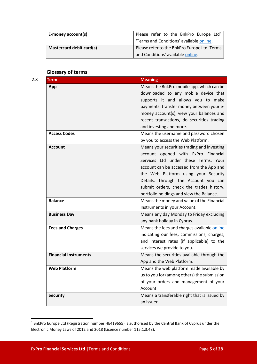| E-money account(s)       | Please refer to the BnkPro Europe Ltd <sup>1</sup> |
|--------------------------|----------------------------------------------------|
|                          | Terms and Conditions' available online.            |
| Mastercard debit card(s) | Please refer to the BnkPro Europe Ltd 'Terms       |
|                          | and Conditions' available online.                  |

## **Glossary of terms**

| Term                         | <b>Meaning</b>                                                          |
|------------------------------|-------------------------------------------------------------------------|
| App                          | Means the BnkPro mobile app, which can be                               |
|                              | downloaded to any mobile device that                                    |
|                              | supports it and allows you to make                                      |
|                              | payments, transfer money between your e-                                |
|                              | money account(s), view your balances and                                |
|                              | recent transactions, do securities trading                              |
|                              | and investing and more.                                                 |
| <b>Access Codes</b>          | Means the username and password chosen                                  |
|                              | by you to access the Web Platform.                                      |
| <b>Account</b>               | Means your securities trading and investing                             |
|                              | account opened with FxPro<br>Financial                                  |
|                              | Services Ltd under these Terms. Your                                    |
|                              | account can be accessed from the App and                                |
|                              | the Web Platform using your Security                                    |
|                              | Details. Through the Account you can                                    |
|                              | submit orders, check the trades history,                                |
|                              | portfolio holdings and view the Balance.                                |
| <b>Balance</b>               | Means the money and value of the Financial                              |
|                              | Instruments in your Account.                                            |
| <b>Business Day</b>          | Means any day Monday to Friday excluding<br>any bank holiday in Cyprus. |
| <b>Fees and Charges</b>      | Means the fees and charges available online                             |
|                              | indicating our fees, commissions, charges,                              |
|                              | and interest rates (if applicable) to the                               |
|                              | services we provide to you.                                             |
| <b>Financial Instruments</b> | Means the securities available through the                              |
|                              | App and the Web Platform.                                               |
| <b>Web Platform</b>          | Means the web platform made available by                                |
|                              | us to you for (among others) the submission                             |
|                              | of your orders and management of your                                   |
|                              | Account.                                                                |
| <b>Security</b>              | Means a transferable right that is issued by                            |
|                              | an issuer.                                                              |
|                              |                                                                         |

<span id="page-4-0"></span><sup>1</sup> BnkPro Europe Ltd (Registration number HE419655) is authorised by the Central Bank of Cyprus under the Electronic Money Laws of 2012 and 2018 (Licence number 115.1.3.48).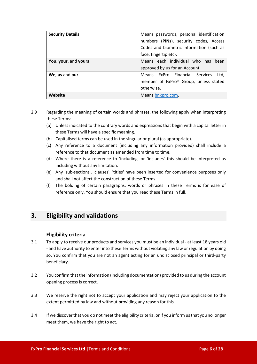| <b>Security Details</b> | Means passwords, personal identification |
|-------------------------|------------------------------------------|
|                         | numbers (PINs), security codes, Access   |
|                         | Codes and biometric information (such as |
|                         | face, fingertip etc).                    |
| You, your, and yours    | Means each individual who has been       |
|                         | approved by us for an Account.           |
| We, us and our          | Means FxPro Financial Services<br>Ltd.   |
|                         | member of FxPro® Group, unless stated    |
|                         | otherwise.                               |
| Website                 | Means bnkpro.com.                        |

- 2.9 Regarding the meaning of certain words and phrases, the following apply when interpreting these Terms:
	- (a) Unless indicated to the contrary words and expressions that begin with a capital letter in these Terms will have a specific meaning.
	- (b) Capitalised terms can be used in the singular or plural (as appropriate).
	- (c) Any reference to a document (including any information provided) shall include a reference to that document as amended from time to time.
	- (d) Where there is a reference to 'including' or 'includes' this should be interpreted as including without any limitation.
	- (e) Any 'sub-sections', 'clauses', 'titles' have been inserted for convenience purposes only and shall not affect the construction of these Terms.
	- (f) The bolding of certain paragraphs, words or phrases in these Terms is for ease of reference only. You should ensure that you read these Terms in full.

## <span id="page-5-0"></span>**3. Eligibility and validations**

## **Eligibility criteria**

- 3.1 To apply to receive our products and services you must be an individual at least 18 years old - and have authority to enter into these Terms without violating any law or regulation by doing so. You confirm that you are not an agent acting for an undisclosed principal or third-party beneficiary.
- 3.2 You confirm that the information (including documentation) provided to us during the account opening process is correct.
- 3.3 We reserve the right not to accept your application and may reject your application to the extent permitted by law and without providing any reason for this.
- 3.4 If we discover that you do not meet the eligibility criteria, or if you inform us that you no longer meet them, we have the right to act.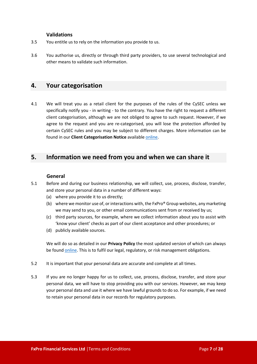#### **Validations**

- 3.5 You entitle us to rely on the information you provide to us.
- 3.6 You authorise us, directly or through third party providers, to use several technological and other means to validate such information.

## <span id="page-6-0"></span>**4. Your categorisation**

4.1 We will treat you as a retail client for the purposes of the rules of the CySEC unless we specifically notify you - in writing - to the contrary. You have the right to request a different client categorisation, although we are not obliged to agree to such request. However, if we agree to the request and you are re-categorised, you will lose the protection afforded by certain CySEC rules and you may be subject to different charges. More information can be found in our **Client Categorisation Notice** availabl[e online](https://bnkpro.com/).

## <span id="page-6-1"></span>**5. Information we need from you and when we can share it**

#### **General**

- 5.1 Before and during our business relationship, we will collect, use, process, disclose, transfer, and store your personal data in a number of different ways:
	- (a) where you provide it to us directly;
	- (b) where we monitor use of, or interactions with, the FxPro® Group websites, any marketing we may send to you, or other email communications sent from or received by us;
	- (c) third party sources, for example, where we collect information about you to assist with 'know your client' checks as part of our client acceptance and other procedures; or
	- (d) publicly available sources.

We will do so as detailed in our **Privacy Policy** the most updated version of which can always be found [online](https://bnkpro.com/). This is to fulfil our legal, regulatory, or risk management obligations.

- 5.2 It is important that your personal data are accurate and complete at all times.
- 5.3 If you are no longer happy for us to collect, use, process, disclose, transfer, and store your personal data, we will have to stop providing you with our services. However, we may keep your personal data and use it where we have lawful grounds to do so. For example, if we need to retain your personal data in our records for regulatory purposes.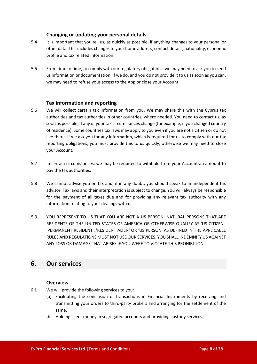## **Changing or updating your personal details**

- 5.4 It is important that you tell us, as quickly as possible, if anything changes to your personal or other data. This includes changes to your home address, contact details, nationality, economic profile and tax related information.
- 5.5 From time to time, to comply with our regulatory obligations, we may need to ask you to send us information or documentation. If we do, and you do not provide it to us as soon as you can, we may need to refuse your access to the App or close your Account.

## **Tax information and reporting**

- 5.6 We will collect certain tax information from you. We may share this with the Cyprus tax authorities and tax authorities in other countries, where needed. You need to contact us, as soon as possible, if any of your tax circumstances change (for example, if you changed country of residence). Some countries tax laws may apply to you even if you are not a citizen or do not live there. If we ask you for any information, which is required for us to comply with our tax reporting obligations, you must provide this to us quickly, otherwise we may need to close your Account.
- 5.7 In certain circumstances, we may be required to withhold from your Account an amount to pay the tax authorities.
- 5.8 We cannot advise you on tax and, if in any doubt, you should speak to an independent tax advisor. Tax laws and their interpretation is subject to change. You will always be responsible for the payment of all taxes due and for providing any relevant tax authority with any information relating to your dealings with us.
- 5.9 YOU REPRESENT TO US THAT YOU ARE NOT A US PERSON. NATURAL PERSONS THAT ARE RESIDENTS OF THE UNITED STATES OF AMERICA OR OTHERWISE QUALIFY AS 'US CITIZEN', 'PERMANENT RESIDENT', 'RESIDENT ALIEN' OR 'US PERSON' AS DEFINED IN THE APPLICABLE RULES AND REGULATIONS MUST NOT USE OUR SERVICES. YOU SHALL INDEMNIFY US AGAINST ANY LOSS OR DAMAGE THAT ARISES IF YOU WERE TO VIOLATE THIS PROHIBITION.

## <span id="page-7-0"></span>**6. Our services**

## **Overview**

- 6.1 We will provide the following services to you:
	- (a) Facilitating the conclusion of transactions in Financial Instruments by receiving and transmitting your orders to third-party brokers and arranging for the settlement of the same.
	- (b) Holding client money in segregated accounts and providing custody services.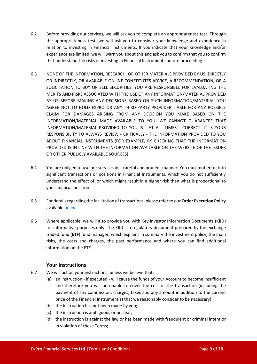- 6.2 Before providing our services, we will ask you to complete an appropriateness test. Through the appropriateness test, we will ask you to consider your knowledge and experience in relation to investing in Financial Instruments. If you indicate that your knowledge and/or experience are limited, we will warn you about this and ask you to confirm that you to confirm that understand the risks of investing in Financial Instruments before proceeding.
- 6.3 NONE OF THE INFORMATION, RESEARCH, OR OTHER MATERIALS PROVIDED BY US, DIRECTLY OR INDIRECTLY, OR AVAILABLE ONLINE CONSTITUTES ADVICE, A RECOMMENDATION, OR A SOLICITATION TO BUY OR SELL SECURITIES. YOU ARE RESPONSIBLE FOR EVALUATING THE MERITS AND RISKS ASSOCIATED WITH THE USE OF ANY INFORMATION/MATERIAL PROVIDED BY US BEFORE MAKING ANY DECISIONS BASED ON SUCH INFORMATION/MATERIAL. YOU AGREE NOT TO HOLD FXPRO OR ANY THIRD-PARTY PROVIDER LIABLE FOR ANY POSSIBLE CLAIM FOR DAMAGES ARISING FROM ANY DECISION YOU MAKE BASED ON THE INFORMATION/MATERIAL MADE AVAILABLE TO YOU. WE CANNOT GUARANTEE THAT INFORMATION/MATERIAL PROVIDED TO YOU IS - AT ALL TIMES - CORRECT. IT IS YOUR RESPONSIBILITY TO ALWAYS REVIEW - CRITICALLY - THE INFORMATION PROVIDED TO YOU ABOUT FINANCIAL INSTRUMENTS (FOR EXAMPLE, BY CHECKING THAT THE INFORMATION PROVIDED IS IN LINE WITH THE INFORMATION AVAILABLE ON THE WEBSITE OF THE ISSUER OR OTHER PUBLICLY AVAILABLE SOURCES).
- 6.4 You are obliged to use our services in a careful and prudent manner. You must not enter into significant transactions or positions in Financial Instruments, which you do not sufficiently understand the effect of, or which might result in a higher risk than what is proportional to your financial position.
- 6.5 For details regarding the facilitation of transactions, please refer to our **Order Execution Policy** availabl[e online](https://www.bnkpro.com/).
- 6.6 Where applicable, we will also provide you with Key Investor Information Documents (**KIID**) for informative purposes only. The KIID is a regulatory document prepared by the exchange traded fund (**ETF**) fund manager, which explains in summary the investment policy, the main risks, the costs and charges, the past performance and where you can find additional information on the ETF.

## **Your Instructions**

- 6.7 We will act on your instructions, unless we believe that:
	- (a) an instruction if executed will cause the funds of your Account to become insufficient and therefore you will be unable to cover the cost of the transaction (including the payment of any commission, charges, taxes and any amount in addition to the current price of the Financial Instrument(s) that we reasonably consider to be necessary);
	- (b) the instruction has not been made by you;
	- (c) the instruction is ambiguous or unclear;
	- (d) the instruction is against the law or has been made with fraudulent or criminal intent or in violation of these Terms;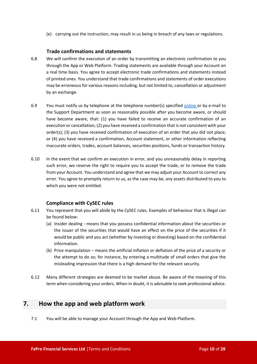(e) carrying out the instruction, may result in us being in breach of any laws or regulations.

#### **Trade confirmations and statements**

- 6.8 We will confirm the execution of an order by transmitting an electronic confirmation to you through the App or Web Platform. Trading statements are available through your Account on a real time basis. You agree to accept electronic trade confirmations and statements instead of printed ones. You understand that trade confirmations and statements of order executions may be erroneous for various reasons including, but not limited to, cancellation or adjustment by an exchange.
- 6.9 You must notify us by telephone at the telephone number(s) specified [online](https://bnkpro.com/) or by e-mail to the Support Department as soon as reasonably possible after you become aware, or should have become aware, that: (1) you have failed to receive an accurate confirmation of an execution or cancellation; (2) you have received a confirmation that is not consistent with your order(s); (3) you have received confirmation of execution of an order that you did not place; or (4) you have received a confirmation, Account statement, or other information reflecting inaccurate orders, trades, account balances, securities positions, funds or transaction history.
- 6.10 In the event that we confirm an execution in error, and you unreasonably delay in reporting such error, we reserve the right to require you to accept the trade, or to remove the trade from your Account. You understand and agree that we may adjust your Account to correct any error. You agree to promptly return to us, as the case may be, any assets distributed to you to which you were not entitled.

## **Compliance with CySEC rules**

- 6.11 You represent that you will abide by the CySEC rules. Examples of behaviour that is illegal can be found below:
	- (a) Insider dealing means that you possess confidential information about the securities or the issuer of the securities that would have an effect on the price of the securities if it would be public and you act (whether by investing or divesting) based on the confidential information.
	- (b) Price manipulation means the artificial inflation or deflation of the price of a security or the attempt to do so; for instance, by entering a multitude of small orders that give the misleading impression that there is a high demand for the relevant security.
- 6.12 Many different strategies are deemed to be market abuse. Be aware of the meaning of this term when considering your orders. When in doubt, it is advisable to seek professional advice.

## <span id="page-9-0"></span>**7. How the app and web platform work**

7.1 You will be able to manage your Account through the App and Web Platform.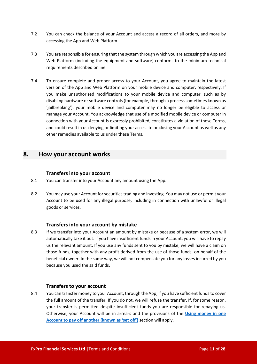- 7.2 You can check the balance of your Account and access a record of all orders, and more by accessing the App and Web Platform.
- 7.3 You are responsible for ensuring that the system through which you are accessing the App and Web Platform (including the equipment and software) conforms to the minimum technical requirements described online.
- 7.4 To ensure complete and proper access to your Account, you agree to maintain the latest version of the App and Web Platform on your mobile device and computer, respectively. If you make unauthorised modifications to your mobile device and computer, such as by disabling hardware or software controls (for example, through a process sometimes known as 'jailbreaking'), your mobile device and computer may no longer be eligible to access or manage your Account. You acknowledge that use of a modified mobile device or computer in connection with your Account is expressly prohibited, constitutes a violation of these Terms, and could result in us denying or limiting your access to or closing your Account as well as any other remedies available to us under these Terms.

## <span id="page-10-0"></span>**8. How your account works**

#### **Transfers into your account**

- 8.1 You can transfer into your Account any amount using the App.
- 8.2 You may use your Account for securities trading and investing. You may not use or permit your Account to be used for any illegal purpose, including in connection with unlawful or illegal goods or services.

## **Transfers into your account by mistake**

8.3 If we transfer into your Account an amount by mistake or because of a system error, we will automatically take it out. If you have insufficient funds in your Account, you will have to repay us the relevant amount. If you use any funds sent to you by mistake, we will have a claim on those funds, together with any profit derived from the use of those funds, on behalf of the beneficial owner. In the same way, we will not compensate you for any losses incurred by you because you used the said funds.

#### **Transfers to your account**

8.4 You can transfer money to your Account, through the App, if you have sufficient funds to cover the full amount of the transfer. If you do not, we will refuse the transfer. If, for some reason, your transfer is permitted despite insufficient funds you are responsible for repaying us. Otherwise, your Account will be in arrears and the provisions of the **[Using money in one](#page-11-1)  [Account to pay off another \(known as 'set off'\)](#page-11-1)** section will apply.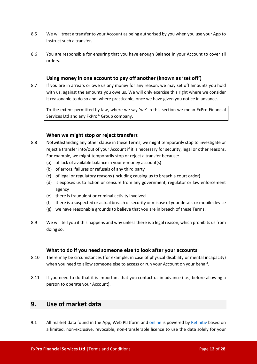- 8.5 We will treat a transfer to your Account as being authorised by you when you use your App to instruct such a transfer.
- 8.6 You are responsible for ensuring that you have enough Balance in your Account to cover all orders.

## **Using money in one account to pay off another (known as 'set off')**

<span id="page-11-1"></span>8.7 If you are in arrears or owe us any money for any reason, we may set off amounts you hold with us, against the amounts you owe us. We will only exercise this right where we consider it reasonable to do so and, where practicable, once we have given you notice in advance.

To the extent permitted by law, where we say 'we' in this section we mean FxPro Financial Services Ltd and any FxPro® Group company.

#### **When we might stop or reject transfers**

- 8.8 Notwithstanding any other clause in these Terms, we might temporarily stop to investigate or reject a transfer into/out of your Account if it is necessary for security, legal or other reasons. For example, we might temporarily stop or reject a transfer because:
	- (a) of lack of available balance in your e-money account(s)
	- (b) of errors, failures or refusals of any third party
	- (c) of legal or regulatory reasons (including causing us to breach a court order)
	- (d) it exposes us to action or censure from any government, regulator or law enforcement agency
	- (e) there is fraudulent or criminal activity involved
	- (f) there is a suspected or actual breach of security or misuse of your details or mobile device
	- (g) we have reasonable grounds to believe that you are in breach of these Terms.
- 8.9 We will tell you if this happens and why unless there is a legal reason, which prohibits us from doing so.

#### **What to do if you need someone else to look after your accounts**

- 8.10 There may be circumstances (for example, in case of physical disability or mental incapacity) when you need to allow someone else to access or run your Account on your behalf.
- 8.11 If you need to do that it is important that you contact us in advance (i.e., before allowing a person to operate your Account).

## <span id="page-11-0"></span>**9. Use of market data**

9.1 All market data found in the App, Web Platform and [online](https://bnkpro.com/) is powered b[y Refinitiv](https://www.refinitiv.com/) based on a limited, non-exclusive, revocable, non-transferable licence to use the data solely for your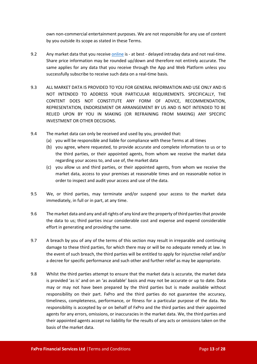own non-commercial entertainment purposes. We are not responsible for any use of content by you outside its scope as stated in these Terms.

- 9.2 Any market data that you receiv[e online](https://bnkpro.com/) is at best delayed intraday data and not real-time. Share price information may be rounded up/down and therefore not entirely accurate. The same applies for any data that you receive through the App and Web Platform unless you successfully subscribe to receive such data on a real-time basis.
- 9.3 ALL MARKET DATA IS PROVIDED TO YOU FOR GENERAL INFORMATION AND USE ONLY AND IS NOT INTENDED TO ADDRESS YOUR PARTICULAR REQUIREMENTS. SPECIFICALLY, THE CONTENT DOES NOT CONSTITUTE ANY FORM OF ADVICE, RECOMMENDATION, REPRESENTATION, ENDORSEMENT OR ARRANGEMENT BY US AND IS NOT INTENDED TO BE RELIED UPON BY YOU IN MAKING (OR REFRAINING FROM MAKING) ANY SPECIFIC INVESTMENT OR OTHER DECISIONS.
- 9.4 The market data can only be received and used by you, provided that:
	- (a) you will be responsible and liable for compliance with these Terms at all times
	- (b) you agree, where requested, to provide accurate and complete information to us or to the third parties, or their appointed agents, from whom we receive the market data regarding your access to, and use of, the market data
	- (c) you allow us and third parties, or their appointed agents, from whom we receive the market data, access to your premises at reasonable times and on reasonable notice in order to inspect and audit your access and use of the data.
- 9.5 We, or third parties, may terminate and/or suspend your access to the market data immediately, in full or in part, at any time.
- 9.6 The market data and any and all rights of any kind are the property of third parties that provide the data to us; third parties incur considerable cost and expense and expend considerable effort in generating and providing the same.
- 9.7 A breach by you of any of the terms of this section may result in irreparable and continuing damage to these third parties, for which there may or will be no adequate remedy at law. In the event of such breach, the third parties will be entitled to apply for injunctive relief and/or a decree for specific performance and such other and further relief as may be appropriate.
- 9.8 Whilst the third parties attempt to ensure that the market data is accurate, the market data is provided 'as is' and on an 'as available' basis and may not be accurate or up to date. Data may or may not have been prepared by the third parties but is made available without responsibility on their part. FxPro and the third parties do not guarantee the accuracy, timeliness, completeness, performance, or fitness for a particular purpose of the data. No responsibility is accepted by or on behalf of FxPro and the third parties and their appointed agents for any errors, omissions, or inaccuracies in the market data. We, the third parties and their appointed agents accept no liability for the results of any acts or omissions taken on the basis of the market data.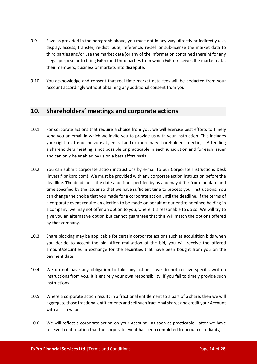- 9.9 Save as provided in the paragraph above, you must not in any way, directly or indirectly use, display, access, transfer, re-distribute, reference, re-sell or sub-license the market data to third parties and/or use the market data (or any of the information contained therein) for any illegal purpose or to bring FxPro and third parties from which FxPro receives the market data, their members, business or markets into disrepute.
- 9.10 You acknowledge and consent that real time market data fees will be deducted from your Account accordingly without obtaining any additional consent from you.

## <span id="page-13-0"></span>**10. Shareholders' meetings and corporate actions**

- 10.1 For corporate actions that require a choice from you, we will exercise best efforts to timely send you an email in which we invite you to provide us with your instruction. This includes your right to attend and vote at general and extraordinary shareholders' meetings. Attending a shareholders meeting is not possible or practicable in each jurisdiction and for each issuer and can only be enabled by us on a best effort basis.
- 10.2 You can submit corporate action instructions by e-mail to our Corporate Instructions Desk (invest@bnkpro.com). We must be provided with any corporate action instruction before the deadline. The deadline is the date and time specified by us and may differ from the date and time specified by the issuer so that we have sufficient time to process your instructions. You can change the choice that you made for a corporate action until the deadline. If the terms of a corporate event require an election to be made on behalf of our entire nominee holding in a company, we may not offer an option to you, where it is reasonable to do so. We will try to give you an alternative option but cannot guarantee that this will match the options offered by that company.
- 10.3 Share blocking may be applicable for certain corporate actions such as acquisition bids when you decide to accept the bid. After realisation of the bid, you will receive the offered amount/securities in exchange for the securities that have been bought from you on the payment date.
- 10.4 We do not have any obligation to take any action if we do not receive specific written instructions from you. It is entirely your own responsibility, if you fail to timely provide such instructions.
- 10.5 Where a corporate action results in a fractional entitlement to a part of a share, then we will aggregate those fractional entitlements and sell such fractional shares and credit your Account with a cash value.
- 10.6 We will reflect a corporate action on your Account as soon as practicable after we have received confirmation that the corporate event has been completed from our custodian(s).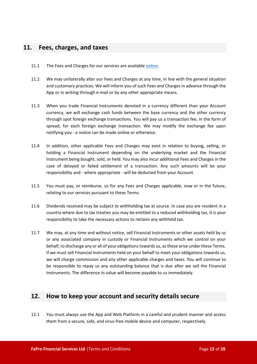## <span id="page-14-0"></span>**11. Fees, charges, and taxes**

- 11.1 The Fees and Charges for our services are available [online](https://bnkpro.com/).
- 11.2 We may unilaterally alter our Fees and Charges at any time, in line with the general situation and customary practices. We will inform you of such Fees and Charges in advance through the App or in writing through e-mail or by any other appropriate means.
- 11.3 When you trade Financial Instruments denoted in a currency different than your Account currency, we will exchange cash funds between the base currency and the other currency through spot foreign exchange transactions. You will pay us a transaction fee, in the form of spread, for each foreign exchange transaction. We may modify the exchange fee upon notifying you - a notice can be made online or otherwise.
- 11.4 In addition, other applicable Fees and Charges may exist in relation to buying, selling, or holding a Financial Instrument depending on the underlying market and the Financial Instrument being bought, sold, or held. You may also incur additional Fees and Charges in the case of delayed or failed settlement of a transaction. Any such amounts will be your responsibility and - where appropriate - will be deducted from your Account.
- 11.5 You must pay, or reimburse, us for any Fees and Charges applicable, now or in the future, relating to our services pursuant to these Terms.
- 11.6 Dividends received may be subject to withholding tax at source. In case you are resident in a country where due to tax treaties you may be entitled to a reduced withholding tax, it is your responsibility to take the necessary actions to reclaim any withheld tax.
- 11.7 We may, at any time and without notice, sell Financial Instruments or other assets held by us or any associated company in custody or Financial Instruments which we control on your behalf, to discharge any or all of your obligations towards us, as these arise under these Terms. If we must sell Financial Instruments held on your behalf to meet your obligations towards us, we will charge commission and any other applicable charges and taxes. You will continue to be responsible to repay us any outstanding balance that is due after we sell the Financial Instruments. The difference in value will become payable to us immediately.

## <span id="page-14-1"></span>**12. How to keep your account and security details secure**

12.1 You must always use the App and Web Platform in a careful and prudent manner and access them from a secure, safe, and virus-free mobile device and computer, respectively.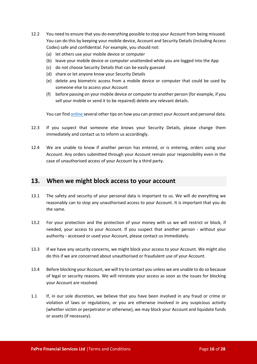- 12.2 You need to ensure that you do everything possible to stop your Account from being misused. You can do this by keeping your mobile device, Account and Security Details (including Access Codes) safe and confidential. For example, you should not:
	- (a) let others use your mobile device or computer
	- (b) leave your mobile device or computer unattended while you are logged into the App
	- (c) do not choose Security Details that can be easily guessed
	- (d) share or let anyone know your Security Details
	- (e) delete any biometric access from a mobile device or computer that could be used by someone else to access your Account
	- (f) before passing on your mobile device or computer to another person (for example, if you sell your mobile or send it to be repaired) delete any relevant details.

You can find [online](https://bnkpro.com/) several other tips on how you can protect your Account and personal data.

- 12.3 If you suspect that someone else knows your Security Details, please change them immediately and contact us to inform us accordingly.
- 12.4 We are unable to know if another person has entered, or is entering, orders using your Account. Any orders submitted through your Account remain your responsibility even in the case of unauthorised access of your Account by a third party.

## <span id="page-15-0"></span>**13. When we might block access to your account**

- 13.1 The safety and security of your personal data is important to us. We will do everything we reasonably can to stop any unauthorised access to your Account. It is important that you do the same.
- 13.2 For your protection and the protection of your money with us we will restrict or block, if needed, your access to your Account. If you suspect that another person - without your authority - accessed or used your Account, please contact us immediately.
- 13.3 If we have any security concerns, we might block your access to your Account. We might also do this if we are concerned about unauthorised or fraudulent use of your Account.
- 13.4 Before blocking your Account, we will try to contact you unless we are unable to do so because of legal or security reasons. We will reinstate your access as soon as the issues for blocking your Account are resolved.
- 1.1 If, in our sole discretion, we believe that you have been involved in any fraud or crime or violation of laws or regulations, or you are otherwise involved in any suspicious activity (whether victim or perpetrator or otherwise), we may block your Account and liquidate funds or assets (if necessary).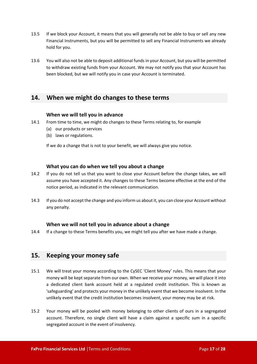- 13.5 If we block your Account, it means that you will generally not be able to buy or sell any new Financial Instruments, but you will be permitted to sell any Financial Instruments we already hold for you.
- 13.6 You will also not be able to deposit additional funds in your Account, but you will be permitted to withdraw existing funds from your Account. We may not notify you that your Account has been blocked, but we will notify you in case your Account is terminated.

## <span id="page-16-0"></span>**14. When we might do changes to these terms**

#### **When we will tell you in advance**

- 14.1 From time to time, we might do changes to these Terms relating to, for example
	- (a) our products or services
	- (b) laws or regulations.

If we do a change that is not to your benefit, we will always give you notice.

#### **What you can do when we tell you about a change**

- 14.2 If you do not tell us that you want to close your Account before the change takes, we will assume you have accepted it. Any changes to these Terms become effective at the end of the notice period, as indicated in the relevant communication.
- 14.3 If you do not accept the change and you inform us about it, you can close your Account without any penalty.

## **When we will not tell you in advance about a change**

14.4 If a change to these Terms benefits you, we might tell you after we have made a change.

## <span id="page-16-1"></span>**15. Keeping your money safe**

- 15.1 We will treat your money according to the CySEC 'Client Money' rules. This means that your money will be kept separate from our own. When we receive your money, we will place it into a dedicated client bank account held at a regulated credit institution. This is known as 'safeguarding' and protects your money in the unlikely event that we become insolvent. In the unlikely event that the credit institution becomes insolvent, your money may be at risk.
- 15.2 Your money will be pooled with money belonging to other clients of ours in a segregated account. Therefore, no single client will have a claim against a specific sum in a specific segregated account in the event of insolvency.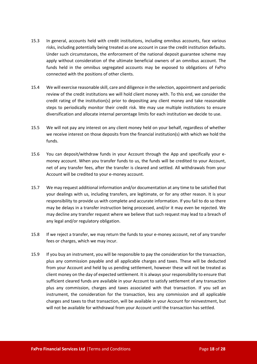- 15.3 In general, accounts held with credit institutions, including omnibus accounts, face various risks, including potentially being treated as one account in case the credit institution defaults. Under such circumstances, the enforcement of the national deposit guarantee scheme may apply without consideration of the ultimate beneficial owners of an omnibus account. The funds held in the omnibus segregated accounts may be exposed to obligations of FxPro connected with the positions of other clients.
- 15.4 We will exercise reasonable skill, care and diligence in the selection, appointment and periodic review of the credit institutions we will hold client money with. To this end, we consider the credit rating of the institution(s) prior to depositing any client money and take reasonable steps to periodically monitor their credit risk. We may use multiple institutions to ensure diversification and allocate internal percentage limits for each institution we decide to use.
- 15.5 We will not pay any interest on any client money held on your behalf, regardless of whether we receive interest on those deposits from the financial institution(s) with which we hold the funds.
- 15.6 You can deposit/withdraw funds in your Account through the App and specifically your emoney account. When you transfer funds to us, the funds will be credited to your Account, net of any transfer fees, after the transfer is cleared and settled. All withdrawals from your Account will be credited to your e-money account.
- 15.7 We may request additional information and/or documentation at any time to be satisfied that your dealings with us, including transfers, are legitimate, or for any other reason. It is your responsibility to provide us with complete and accurate information. If you fail to do so there may be delays in a transfer instruction being processed, and/or it may even be rejected. We may decline any transfer request where we believe that such request may lead to a breach of any legal and/or regulatory obligation.
- 15.8 If we reject a transfer, we may return the funds to your e-money account, net of any transfer fees or charges, which we may incur.
- 15.9 If you buy an instrument, you will be responsible to pay the consideration for the transaction, plus any commission payable and all applicable charges and taxes. These will be deducted from your Account and held by us pending settlement, however these will not be treated as client money on the day of expected settlement. It is always your responsibility to ensure that sufficient cleared funds are available in your Account to satisfy settlement of any transaction plus any commission, charges and taxes associated with that transaction. If you sell an instrument, the consideration for the transaction, less any commission and all applicable charges and taxes to that transaction, will be available in your Account for reinvestment, but will not be available for withdrawal from your Account until the transaction has settled.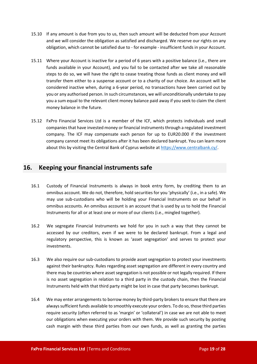- 15.10 If any amount is due from you to us, then such amount will be deducted from your Account and we will consider the obligation as satisfied and discharged. We reserve our rights on any obligation, which cannot be satisfied due to - for example - insufficient funds in your Account.
- 15.11 Where your Account is inactive for a period of 6 years with a positive balance (i.e., there are funds available in your Account), and you fail to be contacted after we take all reasonable steps to do so, we will have the right to cease treating those funds as client money and will transfer them either to a suspense account or to a charity of our choice. An account will be considered inactive when, during a 6-year period, no transactions have been carried out by you or any authorised person. In such circumstances, we will unconditionally undertake to pay you a sum equal to the relevant client money balance paid away if you seek to claim the client money balance in the future.
- 15.12 FxPro Financial Services Ltd is a member of the ICF, which protects individuals and small companies that have invested money or financial instruments through a regulated investment company. The ICF may compensate each person for up to EUR20.000 if the investment company cannot meet its obligations after it has been declared bankrupt. You can learn more about this by visiting the Central Bank of Cyprus website at<https://www.centralbank.cy/>.

## <span id="page-18-0"></span>**16. Keeping your financial instruments safe**

- 16.1 Custody of Financial Instruments is always in book entry form, by crediting them to an omnibus account. We do not, therefore, hold securities for you 'physically' (i.e., in a safe). We may use sub-custodians who will be holding your Financial Instruments on our behalf in omnibus accounts. An omnibus account is an account that is used by us to hold the Financial Instruments for all or at least one or more of our clients (i.e., mingled together).
- 16.2 We segregate Financial Instruments we hold for you in such a way that they cannot be accessed by our creditors, even if we were to be declared bankrupt. From a legal and regulatory perspective, this is known as 'asset segregation' and serves to protect your investments.
- 16.3 We also require our sub-custodians to provide asset segregation to protect your investments against their bankruptcy. Rules regarding asset segregation are different in every country and there may be countries where asset segregation is not possible or not legally required. If there is no asset segregation in relation to a third party in the custody chain, then the Financial Instruments held with that third party might be lost in case that party becomes bankrupt.
- 16.4 We may enter arrangements to borrow money by third-party brokers to ensure that there are always sufficient funds available to smoothly execute your orders. To do so, those third parties require security (often referred to as 'margin' or 'collateral') in case we are not able to meet our obligations when executing your orders with them. We provide such security by posting cash margin with these third parties from our own funds, as well as granting the parties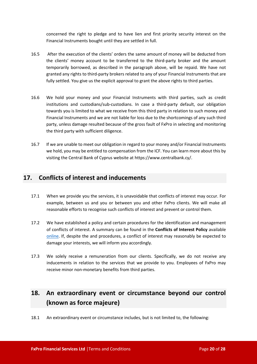concerned the right to pledge and to have lien and first priority security interest on the Financial Instruments bought until they are settled in full.

- 16.5 After the execution of the clients' orders the same amount of money will be deducted from the clients' money account to be transferred to the third-party broker and the amount temporarily borrowed, as described in the paragraph above, will be repaid. We have not granted any rights to third-party brokers related to any of your Financial Instruments that are fully settled. You give us the explicit approval to grant the above rights to third parties.
- 16.6 We hold your money and your Financial Instruments with third parties, such as credit institutions and custodians/sub-custodians. In case a third-party default, our obligation towards you is limited to what we receive from this third party in relation to such money and Financial Instruments and we are not liable for loss due to the shortcomings of any such third party, unless damage resulted because of the gross fault of FxPro in selecting and monitoring the third party with sufficient diligence.
- 16.7 If we are unable to meet our obligation in regard to your money and/or Financial Instruments we hold, you may be entitled to compensation from the ICF. You can learn more about this by visiting the Central Bank of Cyprus website at https://www.centralbank.cy/.

## <span id="page-19-0"></span>**17. Conflicts of interest and inducements**

- 17.1 When we provide you the services, it is unavoidable that conflicts of interest may occur. For example, between us and you or between you and other FxPro clients. We will make all reasonable efforts to recognise such conflicts of interest and prevent or control them.
- 17.2 We have established a policy and certain procedures for the identification and management of conflicts of interest. A summary can be found in the **Conflicts of Interest Policy** available [online.](https://bnkpro.com/) If, despite the and procedures, a conflict of interest may reasonably be expected to damage your interests, we will inform you accordingly.
- 17.3 We solely receive a remuneration from our clients. Specifically, we do not receive any inducements in relation to the services that we provide to you. Employees of FxPro may receive minor non-monetary benefits from third parties.

# <span id="page-19-1"></span>**18. An extraordinary event or circumstance beyond our control (known as force majeure)**

18.1 An extraordinary event or circumstance includes, but is not limited to, the following: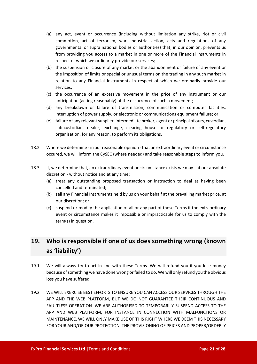- (a) any act, event or occurrence (including without limitation any strike, riot or civil commotion, act of terrorism, war, industrial action, acts and regulations of any governmental or supra national bodies or authorities) that, in our opinion, prevents us from providing you access to a market in one or more of the Financial Instruments in respect of which we ordinarily provide our services;
- (b) the suspension or closure of any market or the abandonment or failure of any event or the imposition of limits or special or unusual terms on the trading in any such market in relation to any Financial Instruments in respect of which we ordinarily provide our services;
- (c) the occurrence of an excessive movement in the price of any instrument or our anticipation (acting reasonably) of the occurrence of such a movement;
- (d) any breakdown or failure of transmission, communication or computer facilities, interruption of power supply, or electronic or communications equipment failure; or
- (e) failure of any relevant supplier, intermediate broker, agent or principal of ours, custodian, sub-custodian, dealer, exchange, clearing house or regulatory or self-regulatory organisation, for any reason, to perform its obligations.
- 18.2 Where we determine in our reasonable opinion that an extraordinary event or circumstance occured, we will inform the CySEC (where needed) and take reasonable steps to inform you.
- 18.3 If, we determine that, an extraordinary event or circumstance exists we may at our absolute discretion - without notice and at any time:
	- (a) treat any outstanding proposed transaction or instruction to deal as having been cancelled and terminated;
	- (b) sell any Financial Instruments held by us on your behalf at the prevailing market price, at our discretion; or
	- (c) suspend or modify the application of all or any part of these Terms if the extraordinary event or circumstance makes it impossible or impracticable for us to comply with the term(s) in question.

## <span id="page-20-0"></span>**19. Who is responsible if one of us does something wrong (known as 'liability')**

- 19.1 We will always try to act in line with these Terms. We will refund you if you lose money because of something we have done wrong or failed to do. We will only refund you the obvious loss you have suffered.
- 19.2 WE WILL EXERCISE BEST EFFORTS TO ENSURE YOU CAN ACCESS OUR SERVICES THROUGH THE APP AND THE WEB PLATFORM, BUT WE DO NOT GUARANTEE THEIR CONTINUOUS AND FAULTLESS OPERATION. WE ARE AUTHORISED TO TEMPORARILY SUSPEND ACCESS TO THE APP AND WEB PLATFORM, FOR INSTANCE IN CONNECTION WITH MALFUNCTIONS OR MAINTENANCE. WE WILL ONLY MAKE USE OF THIS RIGHT WHERE WE DEEM THIS NECESSARY FOR YOUR AND/OR OUR PROTECTION, THE PROVISIONING OF PRICES AND PROPER/ORDERLY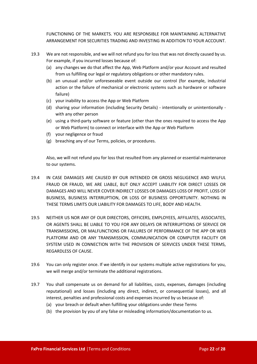FUNCTIONING OF THE MARKETS. YOU ARE RESPONSIBLE FOR MAINTAINING ALTERNATIVE ARRANGEMENT FOR SECURITIES TRADING AND INVESTING IN ADDITION TO YOUR ACCOUNT.

- 19.3 We are not responsible, and we will not refund you for loss that was not directly caused by us. For example, if you incurred losses because of:
	- (a) any changes we do that affect the App, Web Platform and/or your Account and resulted from us fulfilling our legal or regulatory obligations or other mandatory rules.
	- (b) an unusual and/or unforeseeable event outside our control (for example, industrial action or the failure of mechanical or electronic systems such as hardware or software failure)
	- (c) your inability to access the App or Web Platform
	- (d) sharing your information (including Security Details) intentionally or unintentionally with any other person
	- (e) using a third-party software or feature (other than the ones required to access the App or Web Platform) to connect or interface with the App or Web Platform
	- (f) your negligence or fraud
	- (g) breaching any of our Terms, policies, or procedures.

Also, we will not refund you for loss that resulted from any planned or essential maintenance to our systems.

- 19.4 IN CASE DAMAGES ARE CAUSED BY OUR INTENDED OR GROSS NEGLIGENCE AND WILFUL FRAUD OR FRAUD, WE ARE LIABLE, BUT ONLY ACCEPT LIABILITY FOR DIRECT LOSSES OR DAMAGES AND WILL NEVER COVER INDIRECT LOSSES OR DAMAGES LOSS OF PROFIT, LOSS OF BUSINESS, BUSINESS INTERRUPTION, OR LOSS OF BUSINESS OPPORTUNITY. NOTHING IN THESE TERMS LIMITS OUR LIABILITY FOR DAMAGES TO LIFE, BODY AND HEALTH.
- 19.5 NEITHER US NOR ANY OF OUR DIRECTORS, OFFICERS, EMPLOYEES, AFFILIATES, ASSOCIATES, OR AGENTS SHALL BE LIABLE TO YOU FOR ANY DELAYS OR INTERRUPTIONS OF SERVICE OR TRANSMISSIONS, OR MALFUNCTIONS OR FAILURES OF PERFORMANCE OF THE APP OR WEB PLATFORM AND OR ANY TRANSMISSION, COMMUNICATION OR COMPUTER FACILITY OR SYSTEM USED IN CONNECTION WITH THE PROVISION OF SERVICES UNDER THESE TERMS, REGARDLESS OF CAUSE.
- 19.6 You can only register once. If we identify in our systems multiple active registrations for you, we will merge and/or terminate the additional registrations.
- 19.7 You shall compensate us on demand for all liabilities, costs, expenses, damages (including reputational) and losses (including any direct, indirect, or consequential losses), and all interest, penalties and professional costs and expenses incurred by us because of:
	- (a) your breach or default when fulfilling your obligations under these Terms
	- (b) the provision by you of any false or misleading information/documentation to us.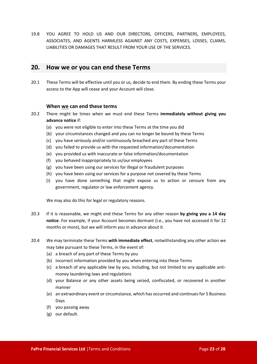19.8 YOU AGREE TO HOLD US AND OUR DIRECTORS, OFFICERS, PARTNERS, EMPLOYEES, ASSOCIATES, AND AGENTS HARMLESS AGAINST ANY COSTS, EXPENSES, LOSSES, CLAIMS, LIABILITIES OR DAMAGES THAT RESULT FROM YOUR USE OF THE SERVICES.

## <span id="page-22-0"></span>**20. How we or you can end these Terms**

20.1 These Terms will be effective until you or us, decide to end them. By ending these Terms your access to the App will cease and your Account will close.

#### **When we can end these terms**

- 20.2 There might be times when we must end these Terms **immediately without giving you advance notice** if:
	- (a) you were not eligible to enter into these Terms at the time you did
	- (b) your circumstances changed and you can no longer be bound by these Terms
	- (c) you have seriously and/or continuously breached any part of these Terms
	- (d) you failed to provide us with the requested information/documentation
	- (e) you provided us with inaccurate or false information/documentation
	- (f) you behaved inappropriately to us/our employees
	- (g) you have been using our services for illegal or fraudulent purposes
	- (h) you have been using our services for a purpose not covered by these Terms
	- (i) you have done something that might expose us to action or censure from any government, regulator or law enforcement agency.

We may also do this for legal or regulatory reasons.

- 20.3 If it is reasonable, we might end these Terms for any other reason **by giving you a 14 day notice**. For example, if your Account becomes dormant (i.e., you have not accessed it for 12 months or more), but we will inform you in advance about it.
- 20.4 We may terminate these Terms **with immediate effect**, notwithstanding any other action we may take pursuant to these Terms, in the event of:
	- (a) a breach of any part of these Terms by you
	- (b) incorrect information provided by you when entering into these Terms
	- (c) a breach of any applicable law by you, including, but not limited to any applicable antimoney laundering laws and regulations
	- (d) your Balance or any other assets being seized, confiscated, or recovered in another manner
	- (e) an extraordinary event or circumstance, which has occurred and continues for 5 Business Days
	- (f) you passing away
	- (g) our default.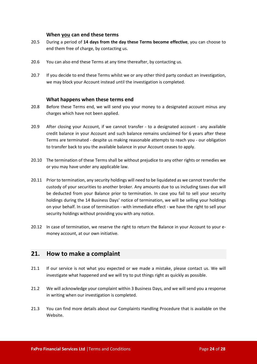#### **When you can end these terms**

- 20.5 During a period of **14 days from the day these Terms become effective**, you can choose to end them free of charge, by contacting us.
- 20.6 You can also end these Terms at any time thereafter, by contacting us.
- 20.7 If you decide to end these Terms whilst we or any other third party conduct an investigation, we may block your Account instead until the investigation is completed.

#### **What happens when these terms end**

- 20.8 Before these Terms end, we will send you your money to a designated account minus any charges which have not been applied.
- 20.9 After closing your Account, if we cannot transfer to a designated account any available credit balance in your Account and such balance remains unclaimed for 6 years after these Terms are terminated - despite us making reasonable attempts to reach you - our obligation to transfer back to you the available balance in your Account ceases to apply.
- 20.10 The termination of these Terms shall be without prejudice to any other rights or remedies we or you may have under any applicable law.
- 20.11 Prior to termination, any security holdings will need to be liquidated as we cannot transfer the custody of your securities to another broker. Any amounts due to us including taxes due will be deducted from your Balance prior to termination. In case you fail to sell your security holdings during the 14 Business Days' notice of termination, we will be selling your holdings on your behalf. In case of termination - with immediate effect - we have the right to sell your security holdings without providing you with any notice.
- 20.12 In case of termination, we reserve the right to return the Balance in your Account to your emoney account, at our own initiative.

## <span id="page-23-0"></span>**21. How to make a complaint**

- 21.1 If our service is not what you expected or we made a mistake, please contact us. We will investigate what happened and we will try to put things right as quickly as possible.
- 21.2 We will acknowledge your complaint within 3 Business Days, and we will send you a response in writing when our investigation is completed.
- 21.3 You can find more details about our Complaints Handling Procedure that is available on the Website.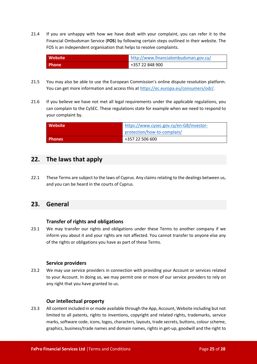21.4 If you are unhappy with how we have dealt with your complaint, you can refer it to the Financial Ombudsman Service (**FOS**) by following certain steps outlined in their website. The FOS is an independent organisation that helps to resolve complaints.

| Website      | http://www.financialombudsman.gov.cy/ |
|--------------|---------------------------------------|
| <b>Phone</b> | +357 22 848 900                       |

- 21.5 You may also be able to use the European Commission's online dispute resolution platform. You can get more information and access this at <https://ec.europa.eu/consumers/odr/>.
- 21.6 If you believe we have not met all legal requirements under the applicable regulations, you can complain to the CySEC. These regulations state for example when we need to respond to your complaint by.

| Website       | https://www.cysec.gov.cy/en-GB/investor- |
|---------------|------------------------------------------|
|               | protection/how-to-complain/              |
| <b>Phones</b> | +357 22 506 600                          |

## <span id="page-24-0"></span>**22. The laws that apply**

22.1 These Terms are subject to the laws of Cyprus. Any claims relating to the dealings between us, and you can be heard in the courts of Cyprus.

## <span id="page-24-1"></span>**23. General**

## **Transfer of rights and obligations**

23.1 We may transfer our rights and obligations under these Terms to another company if we inform you about it and your rights are not affected. You cannot transfer to anyone else any of the rights or obligations you have as part of these Terms.

## **Service providers**

23.2 We may use service providers in connection with providing your Account or services related to your Account. In doing so, we may permit one or more of our service providers to rely on any right that you have granted to us.

## **Our intellectual property**

23.3 All content included in or made available through the App, Account, Website including but not limited to all patents, rights to inventions, copyright and related rights, trademarks, service marks, software code, icons, logos, characters, layouts, trade secrets, buttons, colour scheme, graphics, business/trade names and domain names, rights in get-up, goodwill and the right to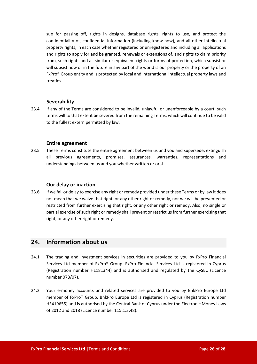sue for passing off, rights in designs, database rights, rights to use, and protect the confidentiality of, confidential information (including know-how), and all other intellectual property rights, in each case whether registered or unregistered and including all applications and rights to apply for and be granted, renewals or extensions of, and rights to claim priority from, such rights and all similar or equivalent rights or forms of protection, which subsist or will subsist now or in the future in any part of the world is our property or the property of an FxPro® Group entity and is protected by local and international intellectual property laws and treaties.

#### **Severability**

23.4 If any of the Terms are considered to be invalid, unlawful or unenforceable by a court, such terms will to that extent be severed from the remaining Terms, which will continue to be valid to the fullest extern permitted by law.

#### **Entire agreement**

23.5 These Terms constitute the entire agreement between us and you and supersede, extinguish all previous agreements, promises, assurances, warranties, representations and understandings between us and you whether written or oral.

#### **Our delay or inaction**

23.6 If we fail or delay to exercise any right or remedy provided under these Terms or by law it does not mean that we waive that right, or any other right or remedy, nor we will be prevented or restricted from further exercising that right, or any other right or remedy. Also, no single or partial exercise of such right or remedy shall prevent or restrict us from further exercising that right, or any other right or remedy.

## <span id="page-25-0"></span>**24. Information about us**

- 24.1 The trading and investment services in securities are provided to you by FxPro Financial Services Ltd member of FxPro® Group. FxPro Financial Services Ltd is registered in Cyprus (Registration number HE181344) and is authorised and regulated by the CySEC (Licence number 078/07).
- 24.2 Your e-money accounts and related services are provided to you by BnkPro Europe Ltd member of FxPro® Group. BnkPro Europe Ltd is registered in Cyprus (Registration number HE419655) and is authorised by the Central Bank of Cyprus under the Electronic Money Laws of 2012 and 2018 (Licence number 115.1.3.48).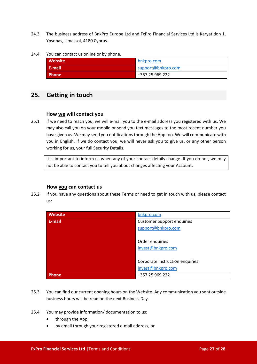- 24.3 The business address of BnkPro Europe Ltd and FxPro Financial Services Ltd is Karyatidon 1, Ypsonas, Limassol, 4180 Cyprus.
- 24.4 You can contact us online or by phone.

| <b>Website</b>     | bnkpro.com         |
|--------------------|--------------------|
| . E-mail'          | support@bnkpro.com |
| Phone <sup>1</sup> | +357 25 969 222    |

## <span id="page-26-0"></span>**25. Getting in touch**

#### **How we will contact you**

25.1 If we need to reach you, we will e-mail you to the e-mail address you registered with us. We may also call you on your mobile or send you text messages to the most recent number you have given us. We may send you notifications through the App too. We will communicate with you in English. If we do contact you, we will never ask you to give us, or any other person working for us, your full Security Details.

It is important to inform us when any of your contact details change. If you do not, we may not be able to contact you to tell you about changes affecting your Account.

#### **How you can contact us**

25.2 If you have any questions about these Terms or need to get in touch with us, please contact us:

| <b>Website</b> | bnkpro.com                        |
|----------------|-----------------------------------|
| E-mail         | <b>Customer Support enquiries</b> |
|                | support@bnkpro.com                |
|                |                                   |
|                | Order enquiries                   |
|                | invest@bnkpro.com                 |
|                |                                   |
|                | Corporate instruction enquiries   |
|                | invest@bnkpro.com                 |
| Phone          | +357 25 969 222                   |

- 25.3 You can find our current opening hours on the Website. Any communication you sent outside business hours will be read on the next Business Day.
- 25.4 You may provide information/ documentation to us:
	- through the App,
	- by email through your registered e-mail address, or